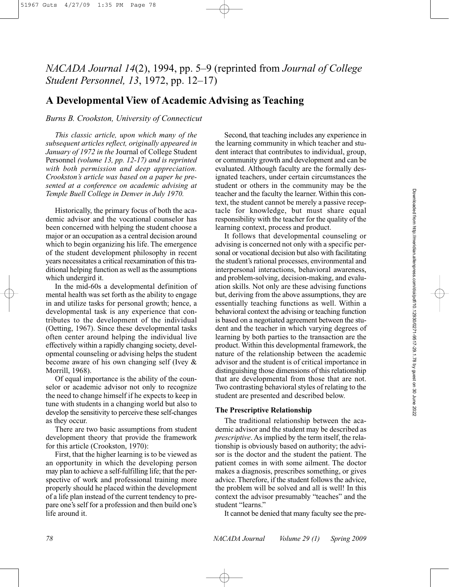# *NACADA Journal 14*(2), 1994, pp. 5–9 (reprinted from *Journal of College Student Personnel, 13*, 1972, pp. 12–17)

## **A Developmental View of Academic Advising as Teaching**

## *Burns B. Crookston, University of Connecticut*

*This classic article, upon which many of the subsequent articles reflect, originally appeared in January of 1972 in the* Journal of College Student Personnel *(volume 13, pp. 12-17) and is reprinted with both permission and deep appreciation. Crookston's article was based on a paper he presented at a conference on academic advising at Temple Buell College in Denver in July 1970.*

Historically, the primary focus of both the academic advisor and the vocational counselor has been concerned with helping the student choose a major or an occupation as a central decision around which to begin organizing his life. The emergence of the student development philosophy in recent years necessitates a critical reexamination of this traditional helping function as well as the assumptions which undergird it.

In the mid-60s a developmental definition of mental health was set forth as the ability to engage in and utilize tasks for personal growth; hence, a developmental task is any experience that contributes to the development of the individual (Oetting, 1967). Since these developmental tasks often center around helping the individual live effectively within a rapidly changing society, developmental counseling or advising helps the student become aware of his own changing self (Ivey & Morrill, 1968).

Of equal importance is the ability of the counselor or academic advisor not only to recognize the need to change himself if he expects to keep in tune with students in a changing world but also to develop the sensitivity to perceive these self-changes as they occur.

There are two basic assumptions from student development theory that provide the framework for this article (Crookston, 1970):

First, that the higher learning is to be viewed as an opportunity in which the developing person may plan to achieve a self-fulfilling life; that the perspective of work and professional training more properly should he placed within the development of a life plan instead of the current tendency to prepare one's self for a profession and then build one's life around it.

Second, that teaching includes any experience in the learning community in which teacher and student interact that contributes to individual, group, or community growth and development and can be evaluated. Although faculty are the formally designated teachers, under certain circumstances the student or others in the community may be the teacher and the faculty the learner. Within this context, the student cannot be merely a passive receptacle for knowledge, but must share equal responsibility with the teacher for the quality of the learning context, process and product.

It follows that developmental counseling or advising is concerned not only with a specific personal or vocational decision but also with facilitating the student's rational processes, environmental and interpersonal interactions, behavioral awareness, and problem-solving, decision-making, and evaluation skills. Not only are these advising functions but, deriving from the above assumptions, they are essentially teaching functions as well. Within a behavioral context the advising or teaching function is based on a negotiated agreement between the student and the teacher in which varying degrees of learning by both parties to the transaction are the product. Within this developmental framework, the nature of the relationship between the academic advisor and the student is of critical importance in distinguishing those dimensions of this relationship that are developmental from those that are not. Two contrasting behavioral styles of relating to the student are presented and described below.

#### **The Prescriptive Relationship**

The traditional relationship between the academic advisor and the student may be described as *prescriptive*. As implied by the term itself, the relationship is obviously based on authority; the advisor is the doctor and the student the patient. The patient comes in with some ailment. The doctor makes a diagnosis, prescribes something, or gives advice. Therefore, if the student follows the advice, the problem will be solved and all is well! In this context the advisor presumably "teaches" and the student "learns."

It cannot be denied that many faculty see the pre-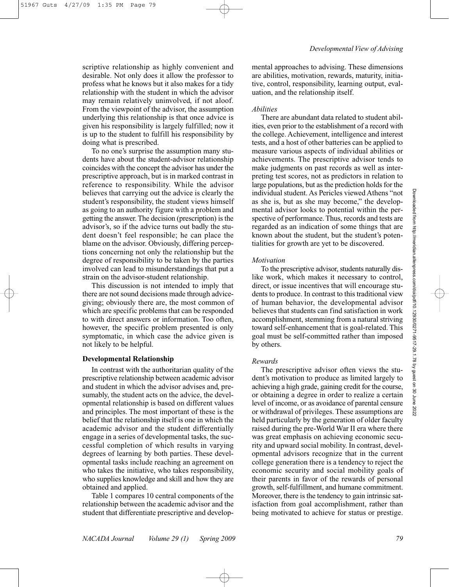scriptive relationship as highly convenient and desirable. Not only does it allow the professor to profess what he knows but it also makes for a tidy relationship with the student in which the advisor may remain relatively uninvolved, if not aloof. From the viewpoint of the advisor, the assumption underlying this relationship is that once advice is given his responsibility is largely fulfilled; now it is up to the student to fulfill his responsibility by doing what is prescribed.

To no one's surprise the assumption many students have about the student-advisor relationship coincides with the concept the advisor has under the prescriptive approach, but is in marked contrast in reference to responsibility. While the advisor believes that carrying out the advice is clearly the student's responsibility, the student views himself as going to an authority figure with a problem and getting the answer. The decision (prescription) is the advisor's, so if the advice turns out badly the student doesn't feel responsible; he can place the blame on the advisor. Obviously, differing perceptions concerning not only the relationship but the degree of responsibility to be taken by the parties involved can lead to misunderstandings that put a strain on the advisor-student relationship.

This discussion is not intended to imply that there are not sound decisions made through advicegiving; obviously there are, the most common of which are specific problems that can be responded to with direct answers or information. Too often, however, the specific problem presented is only symptomatic, in which case the advice given is not likely to be helpful.

## **Developmental Relationship**

In contrast with the authoritarian quality of the prescriptive relationship between academic advisor and student in which the advisor advises and, presumably, the student acts on the advice, the developmental relationship is based on different values and principles. The most important of these is the belief that the relationship itself is one in which the academic advisor and the student differentially engage in a series of developmental tasks, the successful completion of which results in varying degrees of learning by both parties. These developmental tasks include reaching an agreement on who takes the initiative, who takes responsibility, who supplies knowledge and skill and how they are obtained and applied.

Table 1 compares 10 central components of the relationship between the academic advisor and the student that differentiate prescriptive and developmental approaches to advising. These dimensions are abilities, motivation, rewards, maturity, initiative, control, responsibility, learning output, evaluation, and the relationship itself.

#### *Abilities*

There are abundant data related to student abilities, even prior to the establishment of a record with the college. Achievement, intelligence and interest tests, and a host of other batteries can be applied to measure various aspects of individual abilities or achievements. The prescriptive advisor tends to make judgments on past records as well as interpreting test scores, not as predictors in relation to large populations, but as the prediction holds for the individual student. As Pericles viewed Athens "not as she is, but as she may become," the developmental advisor looks to potential within the perspective of performance. Thus, records and tests are regarded as an indication of some things that are known about the student, but the student's potentialities for growth are yet to be discovered.

#### *Motivation*

To the prescriptive advisor, students naturally dislike work, which makes it necessary to control, direct, or issue incentives that will encourage students to produce. In contrast to this traditional view of human behavior, the developmental advisor believes that students can find satisfaction in work accomplishment, stemming from a natural striving toward self-enhancement that is goal-related. This goal must be self-committed rather than imposed by others.

#### *Rewards*

The prescriptive advisor often views the student's motivation to produce as limited largely to achieving a high grade, gaining credit for the course, or obtaining a degree in order to realize a certain level of income, or as avoidance of parental censure or withdrawal of privileges. These assumptions are held particularly by the generation of older faculty raised during the pre-World War II era where there was great emphasis on achieving economic security and upward social mobility. In contrast, developmental advisors recognize that in the current college generation there is a tendency to reject the economic security and social mobility goals of their parents in favor of the rewards of personal growth, self-fulfillment, and humane commitment. Moreover, there is the tendency to gain intrinsic satisfaction from goal accomplishment, rather than being motivated to achieve for status or prestige.

**Downloaded**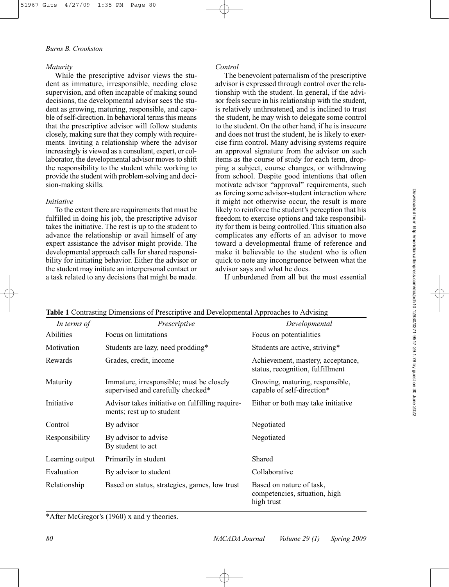## *Burns B. Crookston*

## *Maturity*

While the prescriptive advisor views the student as immature, irresponsible, needing close supervision, and often incapable of making sound decisions, the developmental advisor sees the student as growing, maturing, responsible, and capable of self-direction. In behavioral terms this means that the prescriptive advisor will follow students closely, making sure that they comply with requirements. Inviting a relationship where the advisor increasingly is viewed as a consultant, expert, or collaborator, the developmental advisor moves to shift the responsibility to the student while working to provide the student with problem-solving and decision-making skills.

#### *Initiative*

To the extent there are requirements that must be fulfilled in doing his job, the prescriptive advisor takes the initiative. The rest is up to the student to advance the relationship or avail himself of any expert assistance the advisor might provide. The developmental approach calls for shared responsibility for initiating behavior. Either the advisor or the student may initiate an interpersonal contact or a task related to any decisions that might be made. *Control*

The benevolent paternalism of the prescriptive advisor is expressed through control over the relationship with the student. In general, if the advisor feels secure in his relationship with the student, is relatively unthreatened, and is inclined to trust the student, he may wish to delegate some control to the student. On the other hand, if he is insecure and does not trust the student, he is likely to exercise firm control. Many advising systems require an approval signature from the advisor on such items as the course of study for each term, dropping a subject, course changes, or withdrawing from school. Despite good intentions that often motivate advisor "approval" requirements, such as forcing some advisor-student interaction where it might not otherwise occur, the result is more likely to reinforce the student's perception that his freedom to exercise options and take responsibility for them is being controlled. This situation also complicates any efforts of an advisor to move toward a developmental frame of reference and make it believable to the student who is often quick to note any incongruence between what the advisor says and what he does.

If unburdened from all but the most essential

| In terms of     | Prescriptive                                                                  | Developmental                                                           |
|-----------------|-------------------------------------------------------------------------------|-------------------------------------------------------------------------|
| Abilities       | Focus on limitations                                                          | Focus on potentialities                                                 |
| Motivation      | Students are lazy, need prodding*                                             | Students are active, striving*                                          |
| Rewards         | Grades, credit, income                                                        | Achievement, mastery, acceptance,<br>status, recognition, fulfillment   |
| Maturity        | Immature, irresponsible; must be closely<br>supervised and carefully checked* | Growing, maturing, responsible,<br>capable of self-direction*           |
| Initiative      | Advisor takes initiative on fulfilling require-<br>ments; rest up to student  | Either or both may take initiative                                      |
| Control         | By advisor                                                                    | Negotiated                                                              |
| Responsibility  | By advisor to advise<br>By student to act                                     | Negotiated                                                              |
| Learning output | Primarily in student                                                          | Shared                                                                  |
| Evaluation      | By advisor to student                                                         | Collaborative                                                           |
| Relationship    | Based on status, strategies, games, low trust                                 | Based on nature of task,<br>competencies, situation, high<br>high trust |

**Table 1** Contrasting Dimensions of Prescriptive and Developmental Approaches to Advising

\*After McGregor's (1960) x and y theories.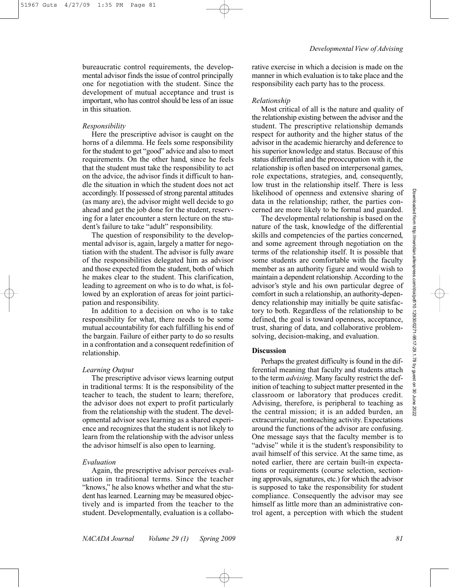51967 Guts 4/27/09 1:35 PM Page 81

bureaucratic control requirements, the developmental advisor finds the issue of control principally one for negotiation with the student. Since the development of mutual acceptance and trust is important, who has control should be less of an issue in this situation.

## *Responsibility*

Here the prescriptive advisor is caught on the horns of a dilemma. He feels some responsibility for the student to get "good" advice and also to meet requirements. On the other hand, since he feels that the student must take the responsibility to act on the advice, the advisor finds it difficult to handle the situation in which the student does not act accordingly. If possessed of strong parental attitudes (as many are), the advisor might well decide to go ahead and get the job done for the student, reserving for a later encounter a stern lecture on the student's failure to take "adult" responsibility.

The question of responsibility to the developmental advisor is, again, largely a matter for negotiation with the student. The advisor is fully aware of the responsibilities delegated him as advisor and those expected from the student, both of which he makes clear to the student. This clarification, leading to agreement on who is to do what, is followed by an exploration of areas for joint participation and responsibility.

In addition to a decision on who is to take responsibility for what, there needs to be some mutual accountability for each fulfilling his end of the bargain. Failure of either party to do so results in a confrontation and a consequent redefinition of relationship.

#### *Learning Output*

The prescriptive advisor views learning output in traditional terms: It is the responsibility of the teacher to teach, the student to learn; therefore, the advisor does not expert to profit particularly from the relationship with the student. The developmental advisor sees learning as a shared experience and recognizes that the student is not likely to learn from the relationship with the advisor unless the advisor himself is also open to learning.

#### *Evaluation*

Again, the prescriptive advisor perceives evaluation in traditional terms. Since the teacher "knows," he also knows whether and what the student has learned. Learning may be measured objectively and is imparted from the teacher to the student. Developmentally, evaluation is a collaborative exercise in which a decision is made on the manner in which evaluation is to take place and the responsibility each party has to the process.

#### *Relationship*

Most critical of all is the nature and quality of the relationship existing between the advisor and the student. The prescriptive relationship demands respect for authority and the higher status of the advisor in the academic hierarchy and deference to his superior knowledge and status. Because of this status differential and the preoccupation with it, the relationship is often based on interpersonal games, role expectations, strategies, and, consequently, low trust in the relationship itself. There is less likelihood of openness and extensive sharing of data in the relationship; rather, the parties concerned are more likely to be formal and guarded.

The developmental relationship is based on the nature of the task, knowledge of the differential skills and competencies of the parties concerned, and some agreement through negotiation on the terms of the relationship itself. It is possible that some students are comfortable with the faculty member as an authority figure and would wish to maintain a dependent relationship. According to the advisor's style and his own particular degree of comfort in such a relationship, an authority-dependency relationship may initially be quite satisfactory to both. Regardless of the relationship to be defined, the goal is toward openness, acceptance, trust, sharing of data, and collaborative problemsolving, decision-making, and evaluation.

## **Discussion**

Perhaps the greatest difficulty is found in the differential meaning that faculty and students attach to the term *advising*. Many faculty restrict the definition of teaching to subject matter presented in the classroom or laboratory that produces credit. Advising, therefore, is peripheral to teaching as the central mission; it is an added burden, an extracurricular, nonteaching activity. Expectations around the functions of the advisor are confusing. One message says that the faculty member is to "advise" while it is the student's responsibility to avail himself of this service. At the same time, as noted earlier, there are certain built-in expectations or requirements (course selection, sectioning approvals, signatures, etc.) for which the advisor is supposed to take the responsibility for student compliance. Consequently the advisor may see himself as little more than an administrative control agent, a perception with which the student Downloaded